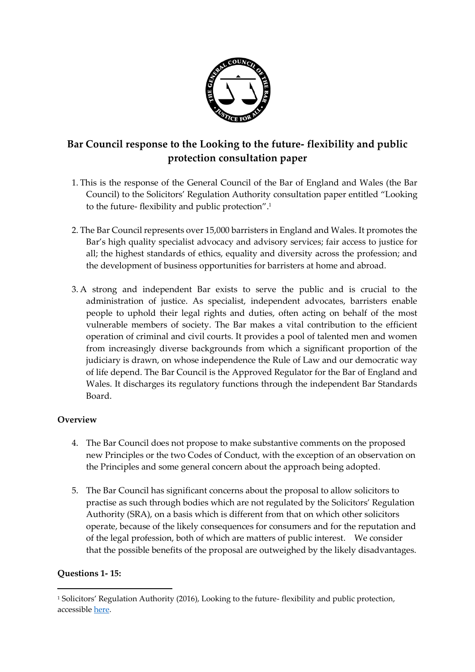

# **Bar Council response to the Looking to the future- flexibility and public protection consultation paper**

- 1. This is the response of the General Council of the Bar of England and Wales (the Bar Council) to the Solicitors' Regulation Authority consultation paper entitled "Looking to the future- flexibility and public protection". 1
- 2. The Bar Council represents over 15,000 barristers in England and Wales. It promotes the Bar's high quality specialist advocacy and advisory services; fair access to justice for all; the highest standards of ethics, equality and diversity across the profession; and the development of business opportunities for barristers at home and abroad.
- 3. A strong and independent Bar exists to serve the public and is crucial to the administration of justice. As specialist, independent advocates, barristers enable people to uphold their legal rights and duties, often acting on behalf of the most vulnerable members of society. The Bar makes a vital contribution to the efficient operation of criminal and civil courts. It provides a pool of talented men and women from increasingly diverse backgrounds from which a significant proportion of the judiciary is drawn, on whose independence the Rule of Law and our democratic way of life depend. The Bar Council is the Approved Regulator for the Bar of England and Wales. It discharges its regulatory functions through the independent Bar Standards Board.

#### **Overview**

- 4. The Bar Council does not propose to make substantive comments on the proposed new Principles or the two Codes of Conduct, with the exception of an observation on the Principles and some general concern about the approach being adopted.
- 5. The Bar Council has significant concerns about the proposal to allow solicitors to practise as such through bodies which are not regulated by the Solicitors' Regulation Authority (SRA), on a basis which is different from that on which other solicitors operate, because of the likely consequences for consumers and for the reputation and of the legal profession, both of which are matters of public interest. We consider that the possible benefits of the proposal are outweighed by the likely disadvantages.

#### **Questions 1- 15:**

1

<sup>1</sup> Solicitors' Regulation Authority (2016), Looking to the future- flexibility and public protection, accessible [here.](https://www.sra.org.uk/sra/consultations/code-conduct-consultation.page)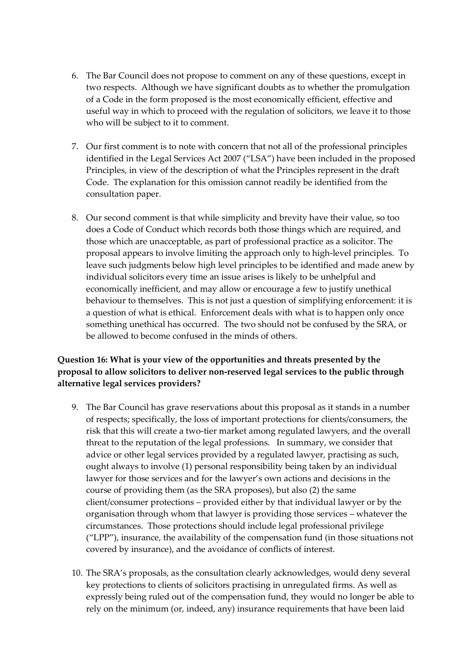- 6. The Bar Council does not propose to comment on any of these questions, except in two respects. Although we have significant doubts as to whether the promulgation of a Code in the form proposed is the most economically efficient, effective and useful way in which to proceed with the regulation of solicitors, we leave it to those who will be subject to it to comment.
- 7. Our first comment is to note with concern that not all of the professional principles identified in the Legal Services Act 2007 ("LSA") have been included in the proposed Principles, in view of the description of what the Principles represent in the draft Code. The explanation for this omission cannot readily be identified from the consultation paper.
- 8. Our second comment is that while simplicity and brevity have their value, so too does a Code of Conduct which records both those things which are required, and those which are unacceptable, as part of professional practice as a solicitor. The proposal appears to involve limiting the approach only to high-level principles. To leave such judgments below high level principles to be identified and made anew by individual solicitors every time an issue arises is likely to be unhelpful and economically inefficient, and may allow or encourage a few to justify unethical behaviour to themselves. This is not just a question of simplifying enforcement: it is a question of what is ethical. Enforcement deals with what is to happen only once something unethical has occurred. The two should not be confused by the SRA, or be allowed to become confused in the minds of others.

## **Question 16: What is your view of the opportunities and threats presented by the proposal to allow solicitors to deliver non-reserved legal services to the public through alternative legal services providers?**

- 9. The Bar Council has grave reservations about this proposal as it stands in a number of respects; specifically, the loss of important protections for clients/consumers, the risk that this will create a two-tier market among regulated lawyers, and the overall threat to the reputation of the legal professions. In summary, we consider that advice or other legal services provided by a regulated lawyer, practising as such, ought always to involve (1) personal responsibility being taken by an individual lawyer for those services and for the lawyer's own actions and decisions in the course of providing them (as the SRA proposes), but also (2) the same client/consumer protections – provided either by that individual lawyer or by the organisation through whom that lawyer is providing those services – whatever the circumstances. Those protections should include legal professional privilege ("LPP"), insurance, the availability of the compensation fund (in those situations not covered by insurance), and the avoidance of conflicts of interest.
- 10. The SRA's proposals, as the consultation clearly acknowledges, would deny several key protections to clients of solicitors practising in unregulated firms. As well as expressly being ruled out of the compensation fund, they would no longer be able to rely on the minimum (or, indeed, any) insurance requirements that have been laid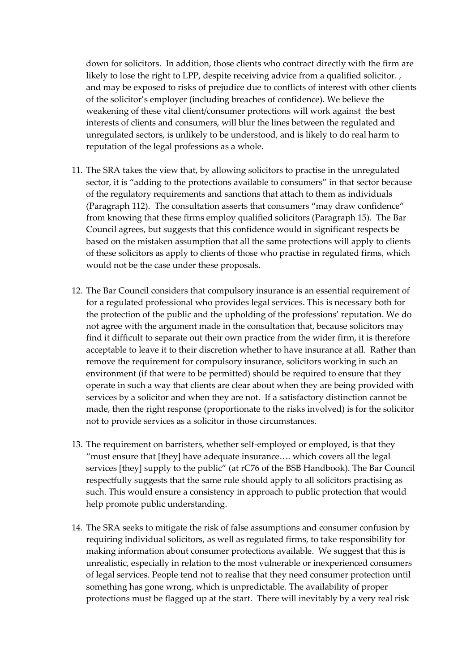down for solicitors. In addition, those clients who contract directly with the firm are likely to lose the right to LPP, despite receiving advice from a qualified solicitor. , and may be exposed to risks of prejudice due to conflicts of interest with other clients of the solicitor's employer (including breaches of confidence). We believe the weakening of these vital client/consumer protections will work against the best interests of clients and consumers, will blur the lines between the regulated and unregulated sectors, is unlikely to be understood, and is likely to do real harm to reputation of the legal professions as a whole.

- 11. The SRA takes the view that, by allowing solicitors to practise in the unregulated sector, it is "adding to the protections available to consumers" in that sector because of the regulatory requirements and sanctions that attach to them as individuals (Paragraph 112). The consultation asserts that consumers "may draw confidence" from knowing that these firms employ qualified solicitors (Paragraph 15). The Bar Council agrees, but suggests that this confidence would in significant respects be based on the mistaken assumption that all the same protections will apply to clients of these solicitors as apply to clients of those who practise in regulated firms, which would not be the case under these proposals.
- 12. The Bar Council considers that compulsory insurance is an essential requirement of for a regulated professional who provides legal services. This is necessary both for the protection of the public and the upholding of the professions' reputation. We do not agree with the argument made in the consultation that, because solicitors may find it difficult to separate out their own practice from the wider firm, it is therefore acceptable to leave it to their discretion whether to have insurance at all. Rather than remove the requirement for compulsory insurance, solicitors working in such an environment (if that were to be permitted) should be required to ensure that they operate in such a way that clients are clear about when they are being provided with services by a solicitor and when they are not. If a satisfactory distinction cannot be made, then the right response (proportionate to the risks involved) is for the solicitor not to provide services as a solicitor in those circumstances.
- 13. The requirement on barristers, whether self-employed or employed, is that they "must ensure that [they] have adequate insurance…. which covers all the legal services [they] supply to the public" (at rC76 of the BSB Handbook). The Bar Council respectfully suggests that the same rule should apply to all solicitors practising as such. This would ensure a consistency in approach to public protection that would help promote public understanding.
- 14. The SRA seeks to mitigate the risk of false assumptions and consumer confusion by requiring individual solicitors, as well as regulated firms, to take responsibility for making information about consumer protections available. We suggest that this is unrealistic, especially in relation to the most vulnerable or inexperienced consumers of legal services. People tend not to realise that they need consumer protection until something has gone wrong, which is unpredictable. The availability of proper protections must be flagged up at the start. There will inevitably by a very real risk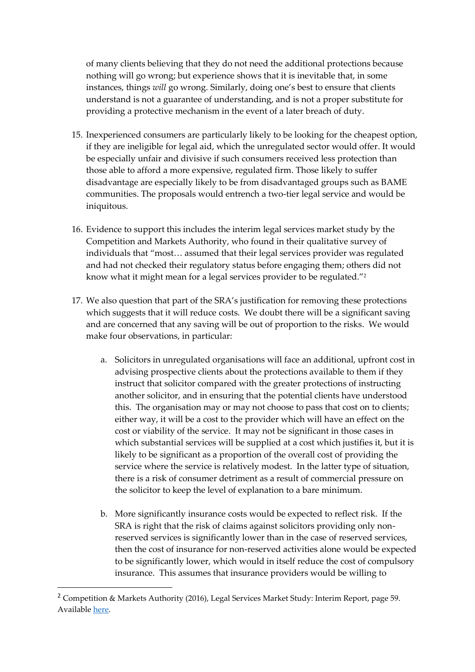of many clients believing that they do not need the additional protections because nothing will go wrong; but experience shows that it is inevitable that, in some instances, things *will* go wrong. Similarly, doing one's best to ensure that clients understand is not a guarantee of understanding, and is not a proper substitute for providing a protective mechanism in the event of a later breach of duty.

- 15. Inexperienced consumers are particularly likely to be looking for the cheapest option, if they are ineligible for legal aid, which the unregulated sector would offer. It would be especially unfair and divisive if such consumers received less protection than those able to afford a more expensive, regulated firm. Those likely to suffer disadvantage are especially likely to be from disadvantaged groups such as BAME communities. The proposals would entrench a two-tier legal service and would be iniquitous.
- 16. Evidence to support this includes the interim legal services market study by the Competition and Markets Authority, who found in their qualitative survey of individuals that "most… assumed that their legal services provider was regulated and had not checked their regulatory status before engaging them; others did not know what it might mean for a legal services provider to be regulated."<sup>2</sup>
- 17. We also question that part of the SRA's justification for removing these protections which suggests that it will reduce costs. We doubt there will be a significant saving and are concerned that any saving will be out of proportion to the risks. We would make four observations, in particular:
	- a. Solicitors in unregulated organisations will face an additional, upfront cost in advising prospective clients about the protections available to them if they instruct that solicitor compared with the greater protections of instructing another solicitor, and in ensuring that the potential clients have understood this. The organisation may or may not choose to pass that cost on to clients; either way, it will be a cost to the provider which will have an effect on the cost or viability of the service. It may not be significant in those cases in which substantial services will be supplied at a cost which justifies it, but it is likely to be significant as a proportion of the overall cost of providing the service where the service is relatively modest. In the latter type of situation, there is a risk of consumer detriment as a result of commercial pressure on the solicitor to keep the level of explanation to a bare minimum.
	- b. More significantly insurance costs would be expected to reflect risk. If the SRA is right that the risk of claims against solicitors providing only nonreserved services is significantly lower than in the case of reserved services, then the cost of insurance for non-reserved activities alone would be expected to be significantly lower, which would in itself reduce the cost of compulsory insurance. This assumes that insurance providers would be willing to

1

<sup>2</sup> Competition & Markets Authority (2016), Legal Services Market Study: Interim Report, page 59. Available [here.](https://assets.publishing.service.gov.uk/media/577f76daed915d622c0000ef/legal-services-market-study-interim-report.pdf)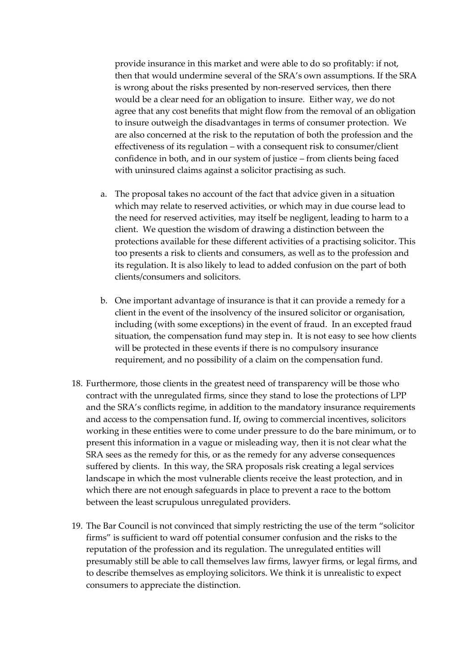provide insurance in this market and were able to do so profitably: if not, then that would undermine several of the SRA's own assumptions. If the SRA is wrong about the risks presented by non-reserved services, then there would be a clear need for an obligation to insure. Either way, we do not agree that any cost benefits that might flow from the removal of an obligation to insure outweigh the disadvantages in terms of consumer protection. We are also concerned at the risk to the reputation of both the profession and the effectiveness of its regulation – with a consequent risk to consumer/client confidence in both, and in our system of justice – from clients being faced with uninsured claims against a solicitor practising as such.

- a. The proposal takes no account of the fact that advice given in a situation which may relate to reserved activities, or which may in due course lead to the need for reserved activities, may itself be negligent, leading to harm to a client. We question the wisdom of drawing a distinction between the protections available for these different activities of a practising solicitor. This too presents a risk to clients and consumers, as well as to the profession and its regulation. It is also likely to lead to added confusion on the part of both clients/consumers and solicitors.
- b. One important advantage of insurance is that it can provide a remedy for a client in the event of the insolvency of the insured solicitor or organisation, including (with some exceptions) in the event of fraud. In an excepted fraud situation, the compensation fund may step in. It is not easy to see how clients will be protected in these events if there is no compulsory insurance requirement, and no possibility of a claim on the compensation fund.
- 18. Furthermore, those clients in the greatest need of transparency will be those who contract with the unregulated firms, since they stand to lose the protections of LPP and the SRA's conflicts regime, in addition to the mandatory insurance requirements and access to the compensation fund. If, owing to commercial incentives, solicitors working in these entities were to come under pressure to do the bare minimum, or to present this information in a vague or misleading way, then it is not clear what the SRA sees as the remedy for this, or as the remedy for any adverse consequences suffered by clients. In this way, the SRA proposals risk creating a legal services landscape in which the most vulnerable clients receive the least protection, and in which there are not enough safeguards in place to prevent a race to the bottom between the least scrupulous unregulated providers.
- 19. The Bar Council is not convinced that simply restricting the use of the term "solicitor firms" is sufficient to ward off potential consumer confusion and the risks to the reputation of the profession and its regulation. The unregulated entities will presumably still be able to call themselves law firms, lawyer firms, or legal firms, and to describe themselves as employing solicitors. We think it is unrealistic to expect consumers to appreciate the distinction.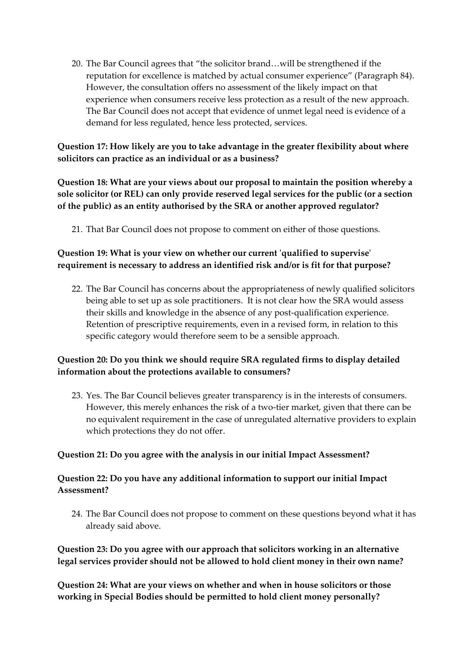20. The Bar Council agrees that "the solicitor brand…will be strengthened if the reputation for excellence is matched by actual consumer experience" (Paragraph 84). However, the consultation offers no assessment of the likely impact on that experience when consumers receive less protection as a result of the new approach. The Bar Council does not accept that evidence of unmet legal need is evidence of a demand for less regulated, hence less protected, services.

**Question 17: How likely are you to take advantage in the greater flexibility about where solicitors can practice as an individual or as a business?**

**Question 18: What are your views about our proposal to maintain the position whereby a sole solicitor (or REL) can only provide reserved legal services for the public (or a section of the public) as an entity authorised by the SRA or another approved regulator?**

21. That Bar Council does not propose to comment on either of those questions.

## **Question 19: What is your view on whether our current 'qualified to supervise' requirement is necessary to address an identified risk and/or is fit for that purpose?**

22. The Bar Council has concerns about the appropriateness of newly qualified solicitors being able to set up as sole practitioners. It is not clear how the SRA would assess their skills and knowledge in the absence of any post-qualification experience. Retention of prescriptive requirements, even in a revised form, in relation to this specific category would therefore seem to be a sensible approach.

#### **Question 20: Do you think we should require SRA regulated firms to display detailed information about the protections available to consumers?**

23. Yes. The Bar Council believes greater transparency is in the interests of consumers. However, this merely enhances the risk of a two-tier market, given that there can be no equivalent requirement in the case of unregulated alternative providers to explain which protections they do not offer.

#### **Question 21: Do you agree with the analysis in our initial Impact Assessment?**

## **Question 22: Do you have any additional information to support our initial Impact Assessment?**

24. The Bar Council does not propose to comment on these questions beyond what it has already said above.

#### **Question 23: Do you agree with our approach that solicitors working in an alternative legal services provider should not be allowed to hold client money in their own name?**

**Question 24: What are your views on whether and when in house solicitors or those working in Special Bodies should be permitted to hold client money personally?**